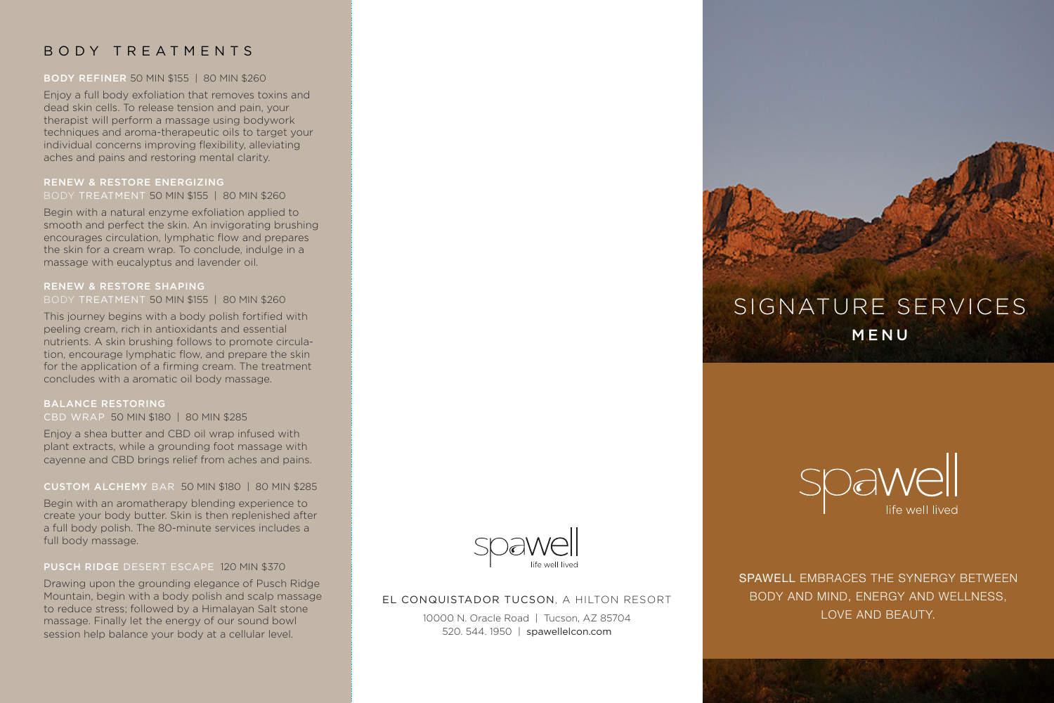# BODY TREATMENTS

### BODY REFINER 50 MIN \$155 | 80 MIN \$260

Enjoy a full body exfoliation that removes toxins and dead skin cells. To release tension and pain, your therapist will perform a massage using bodywork techniques and aroma-therapeutic oils to target your individual concerns improving flexibility, alleviating aches and pains and restoring mental clarity.

### RENEW & RESTORE ENERGIZING BODY TREATMENT 50 MIN \$155 | 80 MIN \$260

Begin with a natural enzyme exfoliation applied to smooth and perfect the skin. An invigorating brushing encourages circulation, lymphatic flow and prepares the skin for a cream wrap. To conclude, indulge in a massage with eucalyptus and lavender oil.

### RENEW & RESTORE SHAPING BODY TREATMENT 50 MIN \$155 | 80 MIN \$260

This journey begins with a body polish fortified with peeling cream, rich in antioxidants and essential nutrients. A skin brushing follows to promote circulation, encourage lymphatic flow, and prepare the skin for the application of a firming cream. The treatment concludes with a aromatic oil body massage.

### BALANCE RESTORING

CBD WRAP 50 MIN \$180 | 80 MIN \$285

Enjoy a shea butter and CBD oil wrap infused with plant extracts, while a grounding foot massage with cayenne and CBD brings relief from aches and pains.

### CUSTOM ALCHEMY BAR 50 MIN \$180 | 80 MIN \$285

Begin with an aromatherapy blending experience to create your body butter. Skin is then replenished after a full body polish. The 80-minute services includes a full body massage.

### PUSCH RIDGE DESERT ESCAPE 120 MIN \$370

Drawing upon the grounding elegance of Pusch Ridge Mountain, begin with a body polish and scalp massage to reduce stress; followed by a Himalayan Salt stone massage. Finally let the energy of our sound bowl session help balance your body at a cellular level.



### EL CONQUISTADOR TUCSON, A HILTON RESORT

10000 N. Oracle Road | Tucson, AZ 85704 520. 544. 1950 | spawellelcon.com





SPAWELL EMBRACES THE SYNERGY BETWEEN BODY AND MIND, ENERGY AND WELLNESS, LOVE AND BEAUTY.